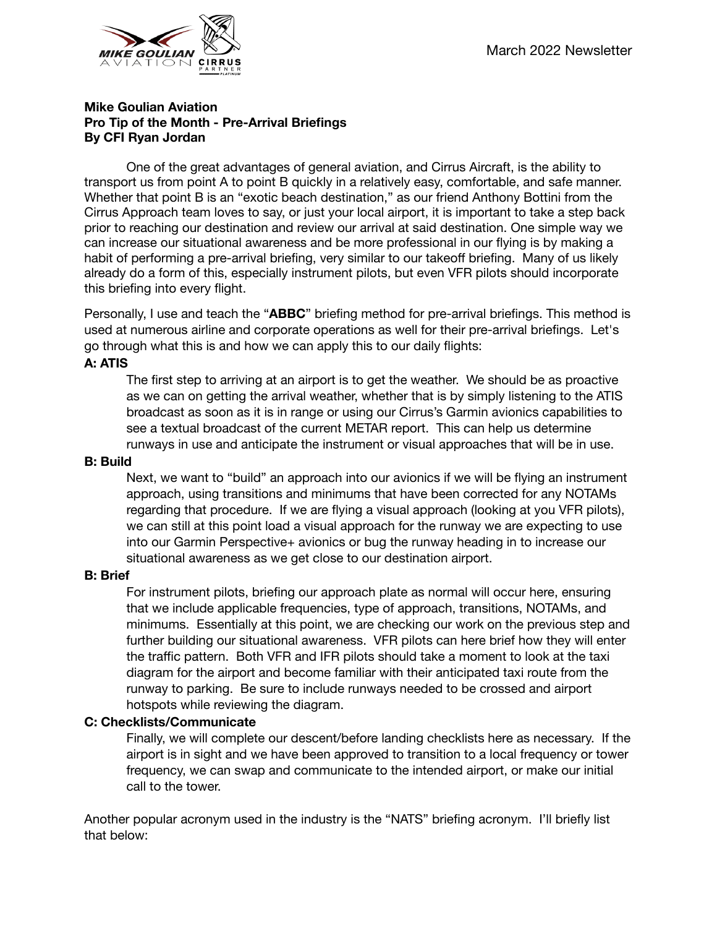

# **Mike Goulian Aviation Pro Tip of the Month - Pre-Arrival Briefings By CFI Ryan Jordan**

One of the great advantages of general aviation, and Cirrus Aircraft, is the ability to transport us from point A to point B quickly in a relatively easy, comfortable, and safe manner. Whether that point B is an "exotic beach destination," as our friend Anthony Bottini from the Cirrus Approach team loves to say, or just your local airport, it is important to take a step back prior to reaching our destination and review our arrival at said destination. One simple way we can increase our situational awareness and be more professional in our flying is by making a habit of performing a pre-arrival briefing, very similar to our takeoff briefing. Many of us likely already do a form of this, especially instrument pilots, but even VFR pilots should incorporate this briefing into every flight.

Personally, I use and teach the "**ABBC**" briefing method for pre-arrival briefings. This method is used at numerous airline and corporate operations as well for their pre-arrival briefings. Let's go through what this is and how we can apply this to our daily flights:

### **A: ATIS**

The first step to arriving at an airport is to get the weather. We should be as proactive as we can on getting the arrival weather, whether that is by simply listening to the ATIS broadcast as soon as it is in range or using our Cirrus's Garmin avionics capabilities to see a textual broadcast of the current METAR report. This can help us determine runways in use and anticipate the instrument or visual approaches that will be in use.

#### **B: Build**

Next, we want to "build" an approach into our avionics if we will be flying an instrument approach, using transitions and minimums that have been corrected for any NOTAMs regarding that procedure. If we are flying a visual approach (looking at you VFR pilots), we can still at this point load a visual approach for the runway we are expecting to use into our Garmin Perspective+ avionics or bug the runway heading in to increase our situational awareness as we get close to our destination airport.

### **B: Brief**

For instrument pilots, briefing our approach plate as normal will occur here, ensuring that we include applicable frequencies, type of approach, transitions, NOTAMs, and minimums. Essentially at this point, we are checking our work on the previous step and further building our situational awareness. VFR pilots can here brief how they will enter the traffic pattern. Both VFR and IFR pilots should take a moment to look at the taxi diagram for the airport and become familiar with their anticipated taxi route from the runway to parking. Be sure to include runways needed to be crossed and airport hotspots while reviewing the diagram.

### **C: Checklists/Communicate**

Finally, we will complete our descent/before landing checklists here as necessary. If the airport is in sight and we have been approved to transition to a local frequency or tower frequency, we can swap and communicate to the intended airport, or make our initial call to the tower.

Another popular acronym used in the industry is the "NATS" briefing acronym. I'll briefly list that below: